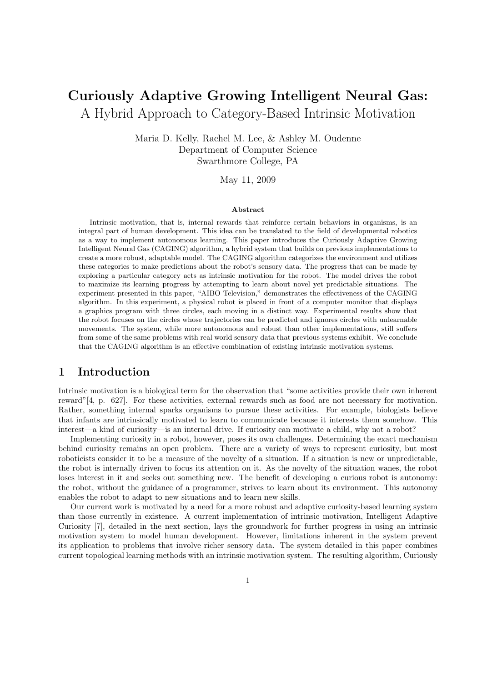# Curiously Adaptive Growing Intelligent Neural Gas: A Hybrid Approach to Category-Based Intrinsic Motivation

Maria D. Kelly, Rachel M. Lee, & Ashley M. Oudenne Department of Computer Science Swarthmore College, PA

May 11, 2009

#### Abstract

Intrinsic motivation, that is, internal rewards that reinforce certain behaviors in organisms, is an integral part of human development. This idea can be translated to the field of developmental robotics as a way to implement autonomous learning. This paper introduces the Curiously Adaptive Growing Intelligent Neural Gas (CAGING) algorithm, a hybrid system that builds on previous implementations to create a more robust, adaptable model. The CAGING algorithm categorizes the environment and utilizes these categories to make predictions about the robot's sensory data. The progress that can be made by exploring a particular category acts as intrinsic motivation for the robot. The model drives the robot to maximize its learning progress by attempting to learn about novel yet predictable situations. The experiment presented in this paper, "AIBO Television," demonstrates the effectiveness of the CAGING algorithm. In this experiment, a physical robot is placed in front of a computer monitor that displays a graphics program with three circles, each moving in a distinct way. Experimental results show that the robot focuses on the circles whose trajectories can be predicted and ignores circles with unlearnable movements. The system, while more autonomous and robust than other implementations, still suffers from some of the same problems with real world sensory data that previous systems exhibit. We conclude that the CAGING algorithm is an effective combination of existing intrinsic motivation systems.

## 1 Introduction

Intrinsic motivation is a biological term for the observation that "some activities provide their own inherent reward"[4, p. 627]. For these activities, external rewards such as food are not necessary for motivation. Rather, something internal sparks organisms to pursue these activities. For example, biologists believe that infants are intrinsically motivated to learn to communicate because it interests them somehow. This interest—a kind of curiosity—is an internal drive. If curiosity can motivate a child, why not a robot?

Implementing curiosity in a robot, however, poses its own challenges. Determining the exact mechanism behind curiosity remains an open problem. There are a variety of ways to represent curiosity, but most roboticists consider it to be a measure of the novelty of a situation. If a situation is new or unpredictable, the robot is internally driven to focus its attention on it. As the novelty of the situation wanes, the robot loses interest in it and seeks out something new. The benefit of developing a curious robot is autonomy: the robot, without the guidance of a programmer, strives to learn about its environment. This autonomy enables the robot to adapt to new situations and to learn new skills.

Our current work is motivated by a need for a more robust and adaptive curiosity-based learning system than those currently in existence. A current implementation of intrinsic motivation, Intelligent Adaptive Curiosity [7], detailed in the next section, lays the groundwork for further progress in using an intrinsic motivation system to model human development. However, limitations inherent in the system prevent its application to problems that involve richer sensory data. The system detailed in this paper combines current topological learning methods with an intrinsic motivation system. The resulting algorithm, Curiously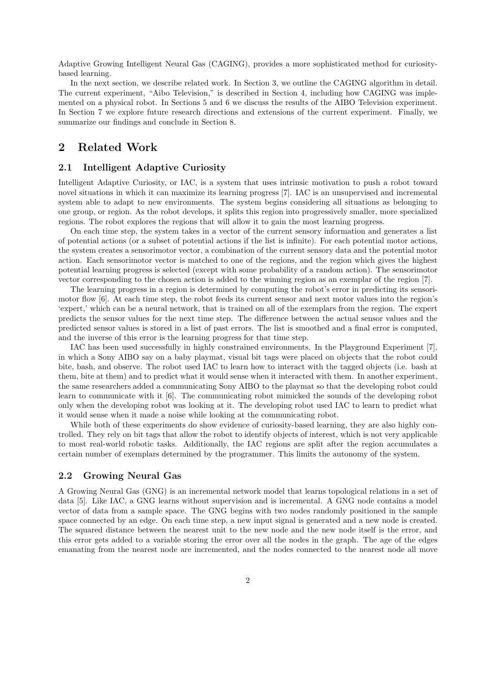Adaptive Growing Intelligent Neural Gas (CAGING), provides a more sophisticated method for curiositybased learning.

In the next section, we describe related work. In Section 3, we outline the CAGING algorithm in detail. The current experiment, "Aibo Television," is described in Section 4, including how CAGING was implemented on a physical robot. In Sections 5 and 6 we discuss the results of the AIBO Television experiment. In Section 7 we explore future research directions and extensions of the current experiment. Finally, we summarize our findings and conclude in Section 8.

## 2 Related Work

## 2.1 Intelligent Adaptive Curiosity

Intelligent Adaptive Curiosity, or IAC, is a system that uses intrinsic motivation to push a robot toward novel situations in which it can maximize its learning progress [7]. IAC is an unsupervised and incremental system able to adapt to new environments. The system begins considering all situations as belonging to one group, or region. As the robot develops, it splits this region into progressively smaller, more specialized regions. The robot explores the regions that will allow it to gain the most learning progress.

On each time step, the system takes in a vector of the current sensory information and generates a list of potential actions (or a subset of potential actions if the list is infinite). For each potential motor actions, the system creates a sensorimotor vector, a combination of the current sensory data and the potential motor action. Each sensorimotor vector is matched to one of the regions, and the region which gives the highest potential learning progress is selected (except with some probability of a random action). The sensorimotor vector corresponding to the chosen action is added to the winning region as an exemplar of the region [7].

The learning progress in a region is determined by computing the robot's error in predicting its sensorimotor flow [6]. At each time step, the robot feeds its current sensor and next motor values into the region's 'expert,' which can be a neural network, that is trained on all of the exemplars from the region. The expert predicts the sensor values for the next time step. The difference between the actual sensor values and the predicted sensor values is stored in a list of past errors. The list is smoothed and a final error is computed, and the inverse of this error is the learning progress for that time step.

IAC has been used successfully in highly constrained environments. In the Playground Experiment [7], in which a Sony AIBO say on a baby playmat, visual bit tags were placed on objects that the robot could bite, bash, and observe. The robot used IAC to learn how to interact with the tagged objects (i.e. bash at them, bite at them) and to predict what it would sense when it interacted with them. In another experiment, the same researchers added a communicating Sony AIBO to the playmat so that the developing robot could learn to communicate with it [6]. The communicating robot mimicked the sounds of the developing robot only when the developing robot was looking at it. The developing robot used IAC to learn to predict what it would sense when it made a noise while looking at the communicating robot.

While both of these experiments do show evidence of curiosity-based learning, they are also highly controlled. They rely on bit tags that allow the robot to identify objects of interest, which is not very applicable to most real-world robotic tasks. Additionally, the IAC regions are split after the region accumulates a certain number of exemplars determined by the programmer. This limits the autonomy of the system.

#### 2.2 Growing Neural Gas

A Growing Neural Gas (GNG) is an incremental network model that learns topological relations in a set of data [5]. Like IAC, a GNG learns without supervision and is incremental. A GNG node contains a model vector of data from a sample space. The GNG begins with two nodes randomly positioned in the sample space connected by an edge. On each time step, a new input signal is generated and a new node is created. The squared distance between the nearest unit to the new node and the new node itself is the error, and this error gets added to a variable storing the error over all the nodes in the graph. The age of the edges emanating from the nearest node are incremented, and the nodes connected to the nearest node all move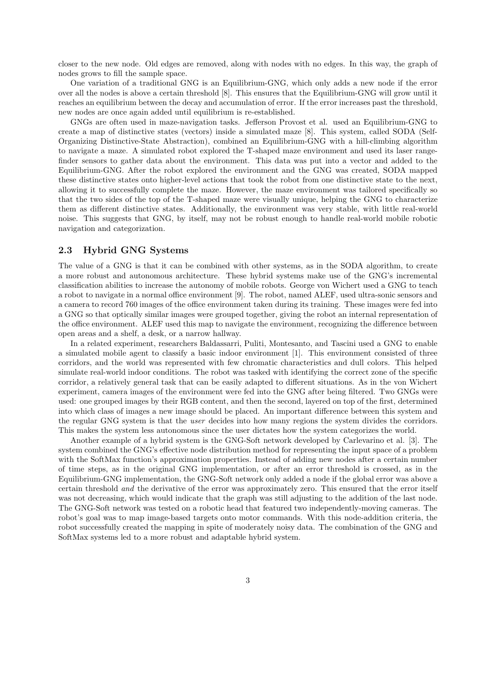closer to the new node. Old edges are removed, along with nodes with no edges. In this way, the graph of nodes grows to fill the sample space.

One variation of a traditional GNG is an Equilibrium-GNG, which only adds a new node if the error over all the nodes is above a certain threshold [8]. This ensures that the Equilibrium-GNG will grow until it reaches an equilibrium between the decay and accumulation of error. If the error increases past the threshold, new nodes are once again added until equilibrium is re-established.

GNGs are often used in maze-navigation tasks. Jefferson Provost et al. used an Equilibrium-GNG to create a map of distinctive states (vectors) inside a simulated maze [8]. This system, called SODA (Self-Organizing Distinctive-State Abstraction), combined an Equilibrium-GNG with a hill-climbing algorithm to navigate a maze. A simulated robot explored the T-shaped maze environment and used its laser rangefinder sensors to gather data about the environment. This data was put into a vector and added to the Equilibrium-GNG. After the robot explored the environment and the GNG was created, SODA mapped these distinctive states onto higher-level actions that took the robot from one distinctive state to the next, allowing it to successfully complete the maze. However, the maze environment was tailored specifically so that the two sides of the top of the T-shaped maze were visually unique, helping the GNG to characterize them as different distinctive states. Additionally, the environment was very stable, with little real-world noise. This suggests that GNG, by itself, may not be robust enough to handle real-world mobile robotic navigation and categorization.

## 2.3 Hybrid GNG Systems

The value of a GNG is that it can be combined with other systems, as in the SODA algorithm, to create a more robust and autonomous architecture. These hybrid systems make use of the GNG's incremental classification abilities to increase the autonomy of mobile robots. George von Wichert used a GNG to teach a robot to navigate in a normal office environment [9]. The robot, named ALEF, used ultra-sonic sensors and a camera to record 760 images of the office environment taken during its training. These images were fed into a GNG so that optically similar images were grouped together, giving the robot an internal representation of the office environment. ALEF used this map to navigate the environment, recognizing the difference between open areas and a shelf, a desk, or a narrow hallway.

In a related experiment, researchers Baldassarri, Puliti, Montesanto, and Tascini used a GNG to enable a simulated mobile agent to classify a basic indoor environment [1]. This environment consisted of three corridors, and the world was represented with few chromatic characteristics and dull colors. This helped simulate real-world indoor conditions. The robot was tasked with identifying the correct zone of the specific corridor, a relatively general task that can be easily adapted to different situations. As in the von Wichert experiment, camera images of the environment were fed into the GNG after being filtered. Two GNGs were used: one grouped images by their RGB content, and then the second, layered on top of the first, determined into which class of images a new image should be placed. An important difference between this system and the regular GNG system is that the user decides into how many regions the system divides the corridors. This makes the system less autonomous since the user dictates how the system categorizes the world.

Another example of a hybrid system is the GNG-Soft network developed by Carlevarino et al. [3]. The system combined the GNG's effective node distribution method for representing the input space of a problem with the SoftMax function's approximation properties. Instead of adding new nodes after a certain number of time steps, as in the original GNG implementation, or after an error threshold is crossed, as in the Equilibrium-GNG implementation, the GNG-Soft network only added a node if the global error was above a certain threshold and the derivative of the error was approximately zero. This ensured that the error itself was not decreasing, which would indicate that the graph was still adjusting to the addition of the last node. The GNG-Soft network was tested on a robotic head that featured two independently-moving cameras. The robot's goal was to map image-based targets onto motor commands. With this node-addition criteria, the robot successfully created the mapping in spite of moderately noisy data. The combination of the GNG and SoftMax systems led to a more robust and adaptable hybrid system.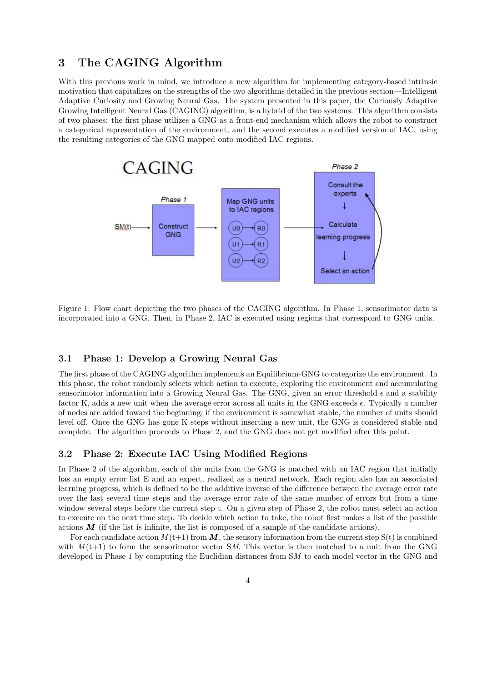# 3 The CAGING Algorithm

With this previous work in mind, we introduce a new algorithm for implementing category-based intrinsic motivation that capitalizes on the strengths of the two algorithms detailed in the previous section—Intelligent Adaptive Curiosity and Growing Neural Gas. The system presented in this paper, the Curiously Adaptive Growing Intelligent Neural Gas (CAGING) algorithm, is a hybrid of the two systems. This algorithm consists of two phases: the first phase utilizes a GNG as a front-end mechanism which allows the robot to construct a categorical representation of the environment, and the second executes a modified version of IAC, using the resulting categories of the GNG mapped onto modified IAC regions.



Figure 1: Flow chart depicting the two phases of the CAGING algorithm. In Phase 1, sensorimotor data is incorporated into a GNG. Then, in Phase 2, IAC is executed using regions that correspond to GNG units.

## 3.1 Phase 1: Develop a Growing Neural Gas

The first phase of the CAGING algorithm implements an Equilibrium-GNG to categorize the environment. In this phase, the robot randomly selects which action to execute, exploring the environment and accumulating sensorimotor information into a Growing Neural Gas. The GNG, given an error threshold  $\epsilon$  and a stability factor K, adds a new unit when the average error across all units in the GNG exceeds  $\epsilon$ . Typically a number of nodes are added toward the beginning; if the environment is somewhat stable, the number of units should level off. Once the GNG has gone K steps without inserting a new unit, the GNG is considered stable and complete. The algorithm proceeds to Phase 2, and the GNG does not get modified after this point.

## 3.2 Phase 2: Execute IAC Using Modified Regions

In Phase 2 of the algorithm, each of the units from the GNG is matched with an IAC region that initially has an empty error list E and an expert, realized as a neural network. Each region also has an associated learning progress, which is defined to be the additive inverse of the difference between the average error rate over the last several time steps and the average error rate of the same number of errors but from a time window several steps before the current step t. On a given step of Phase 2, the robot must select an action to execute on the next time step. To decide which action to take, the robot first makes a list of the possible actions  $M$  (if the list is infinite, the list is composed of a sample of the candidate actions).

For each candidate action  $M(t+1)$  from M, the sensory information from the current step  $S(t)$  is combined with  $M(t+1)$  to form the sensorimotor vector SM. This vector is then matched to a unit from the GNG developed in Phase 1 by computing the Euclidian distances from SM to each model vector in the GNG and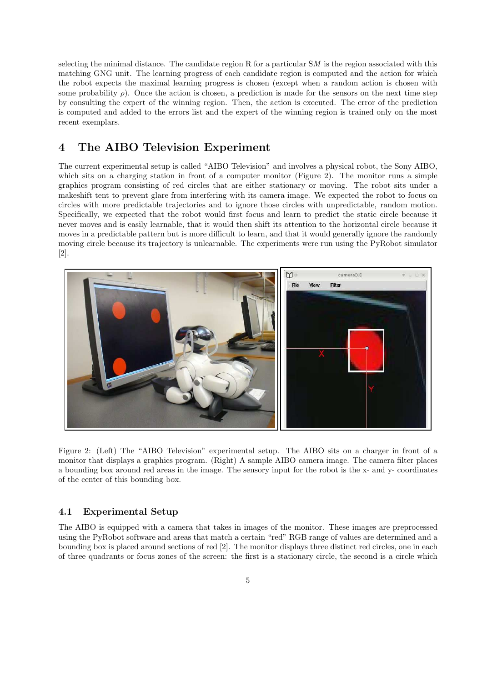selecting the minimal distance. The candidate region R for a particular  $SM$  is the region associated with this matching GNG unit. The learning progress of each candidate region is computed and the action for which the robot expects the maximal learning progress is chosen (except when a random action is chosen with some probability  $\rho$ ). Once the action is chosen, a prediction is made for the sensors on the next time step by consulting the expert of the winning region. Then, the action is executed. The error of the prediction is computed and added to the errors list and the expert of the winning region is trained only on the most recent exemplars.

# 4 The AIBO Television Experiment

The current experimental setup is called "AIBO Television" and involves a physical robot, the Sony AIBO, which sits on a charging station in front of a computer monitor (Figure 2). The monitor runs a simple graphics program consisting of red circles that are either stationary or moving. The robot sits under a makeshift tent to prevent glare from interfering with its camera image. We expected the robot to focus on circles with more predictable trajectories and to ignore those circles with unpredictable, random motion. Specifically, we expected that the robot would first focus and learn to predict the static circle because it never moves and is easily learnable, that it would then shift its attention to the horizontal circle because it moves in a predictable pattern but is more difficult to learn, and that it would generally ignore the randomly moving circle because its trajectory is unlearnable. The experiments were run using the PyRobot simulator [2].



Figure 2: (Left) The "AIBO Television" experimental setup. The AIBO sits on a charger in front of a monitor that displays a graphics program. (Right) A sample AIBO camera image. The camera filter places a bounding box around red areas in the image. The sensory input for the robot is the x- and y- coordinates of the center of this bounding box.

### 4.1 Experimental Setup

The AIBO is equipped with a camera that takes in images of the monitor. These images are preprocessed using the PyRobot software and areas that match a certain "red" RGB range of values are determined and a bounding box is placed around sections of red [2]. The monitor displays three distinct red circles, one in each of three quadrants or focus zones of the screen: the first is a stationary circle, the second is a circle which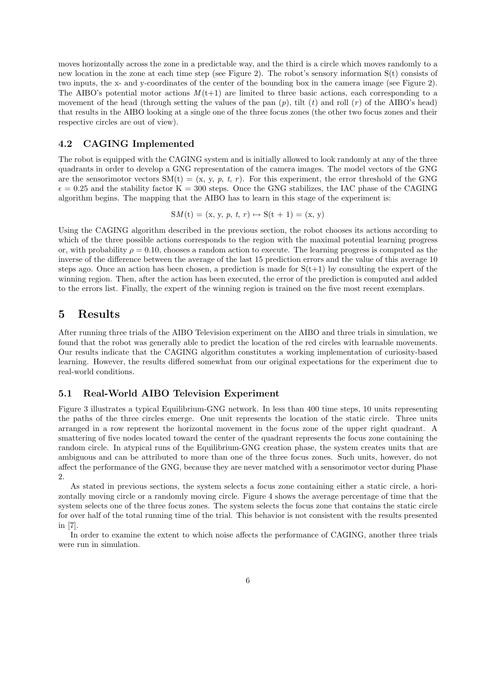moves horizontally across the zone in a predictable way, and the third is a circle which moves randomly to a new location in the zone at each time step (see Figure 2). The robot's sensory information S(t) consists of two inputs, the x- and y-coordinates of the center of the bounding box in the camera image (see Figure 2). The AIBO's potential motor actions  $M(t+1)$  are limited to three basic actions, each corresponding to a movement of the head (through setting the values of the pan  $(p)$ , tilt  $(t)$  and roll  $(r)$  of the AIBO's head) that results in the AIBO looking at a single one of the three focus zones (the other two focus zones and their respective circles are out of view).

### 4.2 CAGING Implemented

The robot is equipped with the CAGING system and is initially allowed to look randomly at any of the three quadrants in order to develop a GNG representation of the camera images. The model vectors of the GNG are the sensorimotor vectors  $SM(t) = (x, y, p, t, r)$ . For this experiment, the error threshold of the GNG  $\epsilon = 0.25$  and the stability factor K = 300 steps. Once the GNG stabilizes, the IAC phase of the CAGING algorithm begins. The mapping that the AIBO has to learn in this stage of the experiment is:

$$
SM(t) = (x, y, p, t, r) \mapsto S(t + 1) = (x, y)
$$

Using the CAGING algorithm described in the previous section, the robot chooses its actions according to which of the three possible actions corresponds to the region with the maximal potential learning progress or, with probability  $\rho = 0.10$ , chooses a random action to execute. The learning progress is computed as the inverse of the difference between the average of the last 15 prediction errors and the value of this average 10 steps ago. Once an action has been chosen, a prediction is made for  $S(t+1)$  by consulting the expert of the winning region. Then, after the action has been executed, the error of the prediction is computed and added to the errors list. Finally, the expert of the winning region is trained on the five most recent exemplars.

## 5 Results

After running three trials of the AIBO Television experiment on the AIBO and three trials in simulation, we found that the robot was generally able to predict the location of the red circles with learnable movements. Our results indicate that the CAGING algorithm constitutes a working implementation of curiosity-based learning. However, the results differed somewhat from our original expectations for the experiment due to real-world conditions.

## 5.1 Real-World AIBO Television Experiment

Figure 3 illustrates a typical Equilibrium-GNG network. In less than 400 time steps, 10 units representing the paths of the three circles emerge. One unit represents the location of the static circle. Three units arranged in a row represent the horizontal movement in the focus zone of the upper right quadrant. A smattering of five nodes located toward the center of the quadrant represents the focus zone containing the random circle. In atypical runs of the Equilibrium-GNG creation phase, the system creates units that are ambiguous and can be attributed to more than one of the three focus zones. Such units, however, do not affect the performance of the GNG, because they are never matched with a sensorimotor vector during Phase 2.

As stated in previous sections, the system selects a focus zone containing either a static circle, a horizontally moving circle or a randomly moving circle. Figure 4 shows the average percentage of time that the system selects one of the three focus zones. The system selects the focus zone that contains the static circle for over half of the total running time of the trial. This behavior is not consistent with the results presented in [7].

In order to examine the extent to which noise affects the performance of CAGING, another three trials were run in simulation.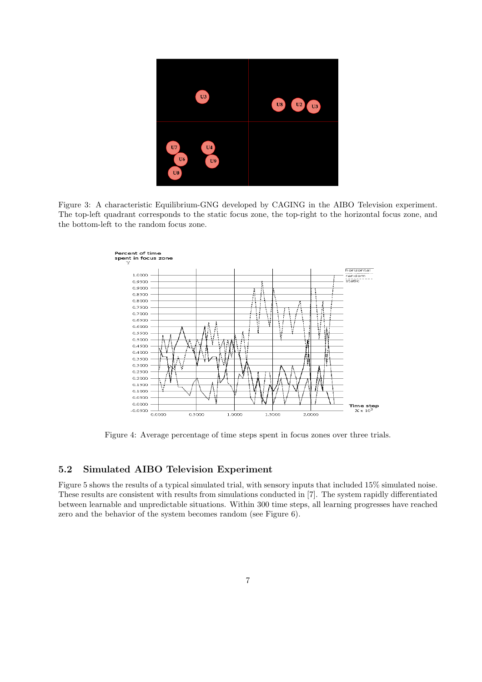

Figure 3: A characteristic Equilibrium-GNG developed by CAGING in the AIBO Television experiment. The top-left quadrant corresponds to the static focus zone, the top-right to the horizontal focus zone, and the bottom-left to the random focus zone.



Figure 4: Average percentage of time steps spent in focus zones over three trials.

## 5.2 Simulated AIBO Television Experiment

Figure 5 shows the results of a typical simulated trial, with sensory inputs that included 15% simulated noise. These results are consistent with results from simulations conducted in [7]. The system rapidly differentiated between learnable and unpredictable situations. Within 300 time steps, all learning progresses have reached zero and the behavior of the system becomes random (see Figure 6).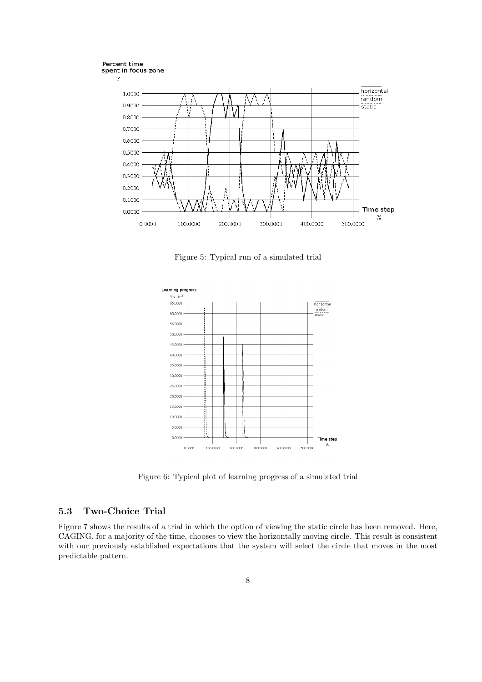





Figure 5: Typical run of a simulated trial



Figure 6: Typical plot of learning progress of a simulated trial

## 5.3 Two-Choice Trial

Figure 7 shows the results of a trial in which the option of viewing the static circle has been removed. Here, CAGING, for a majority of the time, chooses to view the horizontally moving circle. This result is consistent with our previously established expectations that the system will select the circle that moves in the most predictable pattern.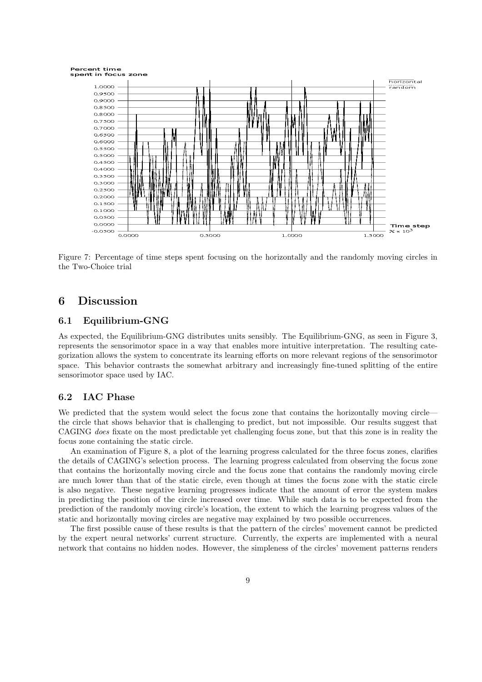



Figure 7: Percentage of time steps spent focusing on the horizontally and the randomly moving circles in the Two-Choice trial

## 6 Discussion

#### 6.1 Equilibrium-GNG

As expected, the Equilibrium-GNG distributes units sensibly. The Equilibrium-GNG, as seen in Figure 3, represents the sensorimotor space in a way that enables more intuitive interpretation. The resulting categorization allows the system to concentrate its learning efforts on more relevant regions of the sensorimotor space. This behavior contrasts the somewhat arbitrary and increasingly fine-tuned splitting of the entire sensorimotor space used by IAC.

## 6.2 IAC Phase

We predicted that the system would select the focus zone that contains the horizontally moving circle the circle that shows behavior that is challenging to predict, but not impossible. Our results suggest that CAGING does fixate on the most predictable yet challenging focus zone, but that this zone is in reality the focus zone containing the static circle.

An examination of Figure 8, a plot of the learning progress calculated for the three focus zones, clarifies the details of CAGING's selection process. The learning progress calculated from observing the focus zone that contains the horizontally moving circle and the focus zone that contains the randomly moving circle are much lower than that of the static circle, even though at times the focus zone with the static circle is also negative. These negative learning progresses indicate that the amount of error the system makes in predicting the position of the circle increased over time. While such data is to be expected from the prediction of the randomly moving circle's location, the extent to which the learning progress values of the static and horizontally moving circles are negative may explained by two possible occurrences.

The first possible cause of these results is that the pattern of the circles' movement cannot be predicted by the expert neural networks' current structure. Currently, the experts are implemented with a neural network that contains no hidden nodes. However, the simpleness of the circles' movement patterns renders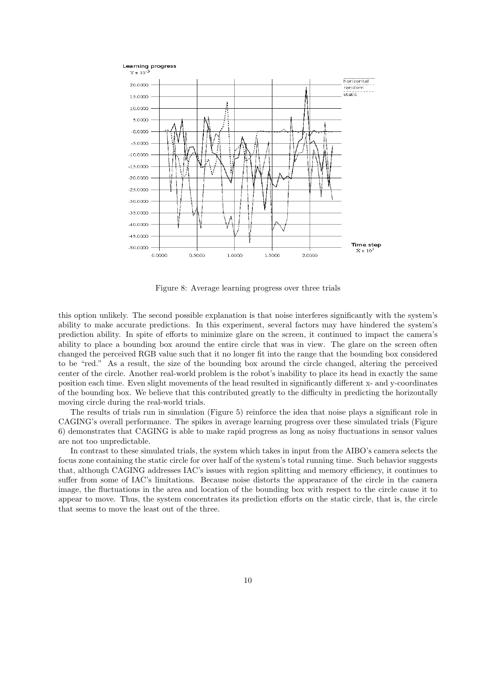#### Learning progress



Figure 8: Average learning progress over three trials

this option unlikely. The second possible explanation is that noise interferes significantly with the system's ability to make accurate predictions. In this experiment, several factors may have hindered the system's prediction ability. In spite of efforts to minimize glare on the screen, it continued to impact the camera's ability to place a bounding box around the entire circle that was in view. The glare on the screen often changed the perceived RGB value such that it no longer fit into the range that the bounding box considered to be "red." As a result, the size of the bounding box around the circle changed, altering the perceived center of the circle. Another real-world problem is the robot's inability to place its head in exactly the same position each time. Even slight movements of the head resulted in significantly different x- and y-coordinates of the bounding box. We believe that this contributed greatly to the difficulty in predicting the horizontally moving circle during the real-world trials.

The results of trials run in simulation (Figure 5) reinforce the idea that noise plays a significant role in CAGING's overall performance. The spikes in average learning progress over these simulated trials (Figure 6) demonstrates that CAGING is able to make rapid progress as long as noisy fluctuations in sensor values are not too unpredictable.

In contrast to these simulated trials, the system which takes in input from the AIBO's camera selects the focus zone containing the static circle for over half of the system's total running time. Such behavior suggests that, although CAGING addresses IAC's issues with region splitting and memory efficiency, it continues to suffer from some of IAC's limitations. Because noise distorts the appearance of the circle in the camera image, the fluctuations in the area and location of the bounding box with respect to the circle cause it to appear to move. Thus, the system concentrates its prediction efforts on the static circle, that is, the circle that seems to move the least out of the three.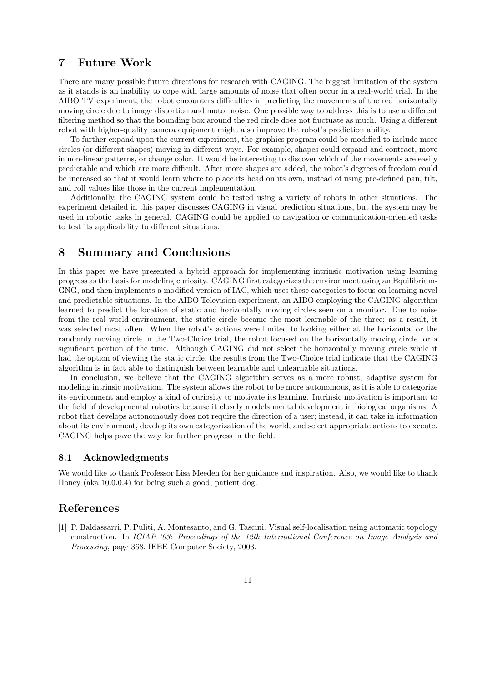## 7 Future Work

There are many possible future directions for research with CAGING. The biggest limitation of the system as it stands is an inability to cope with large amounts of noise that often occur in a real-world trial. In the AIBO TV experiment, the robot encounters difficulties in predicting the movements of the red horizontally moving circle due to image distortion and motor noise. One possible way to address this is to use a different filtering method so that the bounding box around the red circle does not fluctuate as much. Using a different robot with higher-quality camera equipment might also improve the robot's prediction ability.

To further expand upon the current experiment, the graphics program could be modified to include more circles (or different shapes) moving in different ways. For example, shapes could expand and contract, move in non-linear patterns, or change color. It would be interesting to discover which of the movements are easily predictable and which are more difficult. After more shapes are added, the robot's degrees of freedom could be increased so that it would learn where to place its head on its own, instead of using pre-defined pan, tilt, and roll values like those in the current implementation.

Additionally, the CAGING system could be tested using a variety of robots in other situations. The experiment detailed in this paper discusses CAGING in visual prediction situations, but the system may be used in robotic tasks in general. CAGING could be applied to navigation or communication-oriented tasks to test its applicability to different situations.

# 8 Summary and Conclusions

In this paper we have presented a hybrid approach for implementing intrinsic motivation using learning progress as the basis for modeling curiosity. CAGING first categorizes the environment using an Equilibrium-GNG, and then implements a modified version of IAC, which uses these categories to focus on learning novel and predictable situations. In the AIBO Television experiment, an AIBO employing the CAGING algorithm learned to predict the location of static and horizontally moving circles seen on a monitor. Due to noise from the real world environment, the static circle became the most learnable of the three; as a result, it was selected most often. When the robot's actions were limited to looking either at the horizontal or the randomly moving circle in the Two-Choice trial, the robot focused on the horizontally moving circle for a significant portion of the time. Although CAGING did not select the horizontally moving circle while it had the option of viewing the static circle, the results from the Two-Choice trial indicate that the CAGING algorithm is in fact able to distinguish between learnable and unlearnable situations.

In conclusion, we believe that the CAGING algorithm serves as a more robust, adaptive system for modeling intrinsic motivation. The system allows the robot to be more autonomous, as it is able to categorize its environment and employ a kind of curiosity to motivate its learning. Intrinsic motivation is important to the field of developmental robotics because it closely models mental development in biological organisms. A robot that develops autonomously does not require the direction of a user; instead, it can take in information about its environment, develop its own categorization of the world, and select appropriate actions to execute. CAGING helps pave the way for further progress in the field.

#### 8.1 Acknowledgments

We would like to thank Professor Lisa Meeden for her guidance and inspiration. Also, we would like to thank Honey (aka 10.0.0.4) for being such a good, patient dog.

# References

[1] P. Baldassarri, P. Puliti, A. Montesanto, and G. Tascini. Visual self-localisation using automatic topology construction. In ICIAP '03: Proceedings of the 12th International Conference on Image Analysis and Processing, page 368. IEEE Computer Society, 2003.